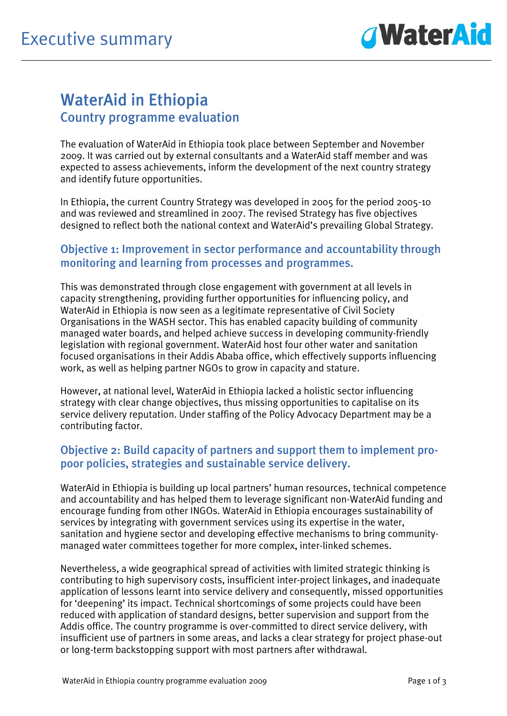

# WaterAid in Ethiopia Country programme evaluation

The evaluation of WaterAid in Ethiopia took place between September and November 2009. It was carried out by external consultants and a WaterAid staff member and was expected to assess achievements, inform the development of the next country strategy and identify future opportunities.

In Ethiopia, the current Country Strategy was developed in 2005 for the period 2005-10 and was reviewed and streamlined in 2007. The revised Strategy has five objectives designed to reflect both the national context and WaterAid's prevailing Global Strategy.

### Objective 1: Improvement in sector performance and accountability through monitoring and learning from processes and programmes.

This was demonstrated through close engagement with government at all levels in capacity strengthening, providing further opportunities for influencing policy, and WaterAid in Ethiopia is now seen as a legitimate representative of Civil Society Organisations in the WASH sector. This has enabled capacity building of community managed water boards, and helped achieve success in developing community-friendly legislation with regional government. WaterAid host four other water and sanitation focused organisations in their Addis Ababa office, which effectively supports influencing work, as well as helping partner NGOs to grow in capacity and stature.

However, at national level, WaterAid in Ethiopia lacked a holistic sector influencing strategy with clear change objectives, thus missing opportunities to capitalise on its service delivery reputation. Under staffing of the Policy Advocacy Department may be a contributing factor.

#### Objective 2: Build capacity of partners and support them to implement propoor policies, strategies and sustainable service delivery.

WaterAid in Ethiopia is building up local partners' human resources, technical competence and accountability and has helped them to leverage significant non-WaterAid funding and encourage funding from other INGOs. WaterAid in Ethiopia encourages sustainability of services by integrating with government services using its expertise in the water, sanitation and hygiene sector and developing effective mechanisms to bring communitymanaged water committees together for more complex, inter-linked schemes.

Nevertheless, a wide geographical spread of activities with limited strategic thinking is contributing to high supervisory costs, insufficient inter-project linkages, and inadequate application of lessons learnt into service delivery and consequently, missed opportunities for 'deepening' its impact. Technical shortcomings of some projects could have been reduced with application of standard designs, better supervision and support from the Addis office. The country programme is over-committed to direct service delivery, with insufficient use of partners in some areas, and lacks a clear strategy for project phase-out or long-term backstopping support with most partners after withdrawal.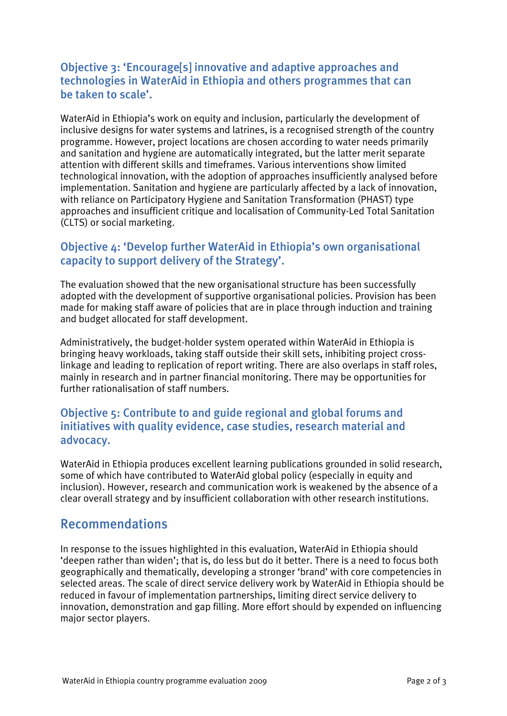## Objective 3: 'Encourage[s] innovative and adaptive approaches and technologies in WaterAid in Ethiopia and others programmes that can be taken to scale'.

WaterAid in Ethiopia's work on equity and inclusion, particularly the development of inclusive designs for water systems and latrines, is a recognised strength of the country programme. However, project locations are chosen according to water needs primarily and sanitation and hygiene are automatically integrated, but the latter merit separate attention with different skills and timeframes. Various interventions show limited technological innovation, with the adoption of approaches insufficiently analysed before implementation. Sanitation and hygiene are particularly affected by a lack of innovation, with reliance on Participatory Hygiene and Sanitation Transformation (PHAST) type approaches and insufficient critique and localisation of Community-Led Total Sanitation (CLTS) or social marketing.

## Objective 4: 'Develop further WaterAid in Ethiopia's own organisational capacity to support delivery of the Strategy'.

The evaluation showed that the new organisational structure has been successfully adopted with the development of supportive organisational policies. Provision has been made for making staff aware of policies that are in place through induction and training and budget allocated for staff development.

Administratively, the budget-holder system operated within WaterAid in Ethiopia is bringing heavy workloads, taking staff outside their skill sets, inhibiting project crosslinkage and leading to replication of report writing. There are also overlaps in staff roles, mainly in research and in partner financial monitoring. There may be opportunities for further rationalisation of staff numbers.

### Objective 5: Contribute to and guide regional and global forums and initiatives with quality evidence, case studies, research material and advocacy.

WaterAid in Ethiopia produces excellent learning publications grounded in solid research, some of which have contributed to WaterAid global policy (especially in equity and inclusion). However, research and communication work is weakened by the absence of a clear overall strategy and by insufficient collaboration with other research institutions.

## Recommendations

In response to the issues highlighted in this evaluation, WaterAid in Ethiopia should 'deepen rather than widen'; that is, do less but do it better. There is a need to focus both geographically and thematically, developing a stronger 'brand' with core competencies in selected areas. The scale of direct service delivery work by WaterAid in Ethiopia should be reduced in favour of implementation partnerships, limiting direct service delivery to innovation, demonstration and gap filling. More effort should by expended on influencing major sector players.